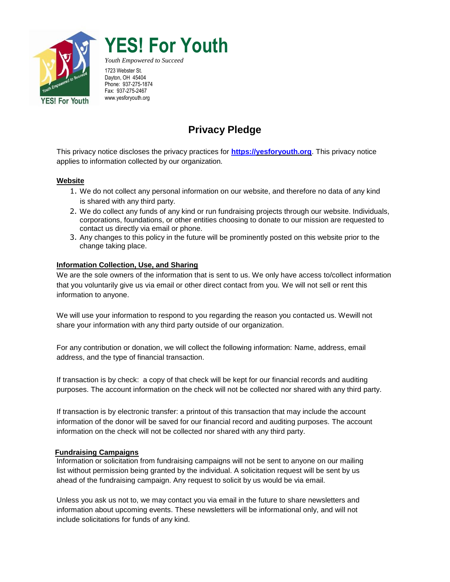

# **YES! For Youth**

*Youth Empowered to Succeed* 1723 Webster St. Dayton, OH 45404 Phone: 937-275-1874 Fax: 937-275-2467 www.yesforyouth.org

# **Privacy Pledge**

This privacy notice discloses the privacy practices for **[https://yesforyouth.org](https://yesforyouth.org/)**. This privacy notice applies to information collected by our organization.

#### **Website**

- 1. We do not collect any personal information on our website, and therefore no data of any kind is shared with any third party.
- 2. We do collect any funds of any kind or run fundraising projects through our website. Individuals, corporations, foundations, or other entities choosing to donate to our mission are requested to contact us directly via email or phone.
- 3. Any changes to this policy in the future will be prominently posted on this website prior to the change taking place.

### **Information Collection, Use, and Sharing**

We are the sole owners of the information that is sent to us. We only have access to/collect information that you voluntarily give us via email or other direct contact from you. We will not sell or rent this information to anyone.

We will use your information to respond to you regarding the reason you contacted us. Wewill not share your information with any third party outside of our organization.

For any contribution or donation, we will collect the following information: Name, address, email address, and the type of financial transaction.

If transaction is by check: a copy of that check will be kept for our financial records and auditing purposes. The account information on the check will not be collected nor shared with any third party.

If transaction is by electronic transfer: a printout of this transaction that may include the account information of the donor will be saved for our financial record and auditing purposes. The account information on the check will not be collected nor shared with any third party.

#### **Fundraising Campaigns**

Information or solicitation from fundraising campaigns will not be sent to anyone on our mailing list without permission being granted by the individual. A solicitation request will be sent by us ahead of the fundraising campaign. Any request to solicit by us would be via email.

Unless you ask us not to, we may contact you via email in the future to share newsletters and information about upcoming events. These newsletters will be informational only, and will not include solicitations for funds of any kind.